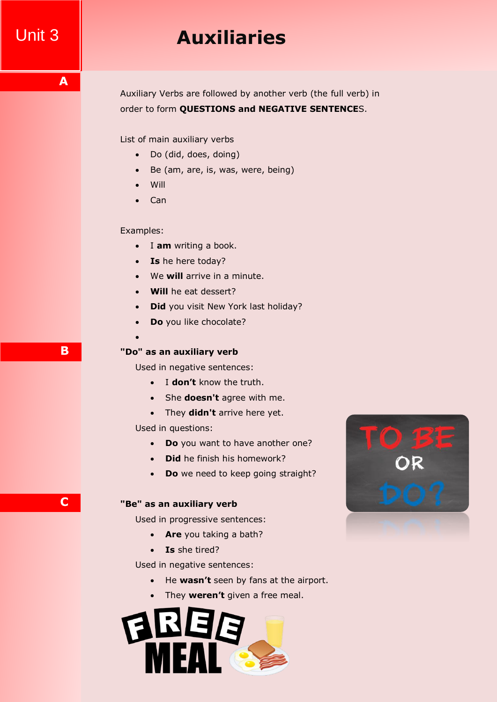# Unit 3 **Auxiliaries**

Auxiliary Verbs are followed by another verb (the full verb) in order to form **QUESTIONS and NEGATIVE SENTENCE**S.

List of main auxiliary verbs

- Do (did, does, doing)
- Be (am, are, is, was, were, being)
- Will
- $\bullet$  Can

### Examples:

- I am writing a book.
- **Is** he here today?
- We **will** arrive in a minute.
- **Will** he eat dessert?
- **Did** you visit New York last holiday?
- **Do** you like chocolate?

### $\bullet$

### **"Do" as an auxiliary verb**

Used in negative sentences:

- I **don't** know the truth.
- She **doesn't** agree with me.
- They **didn't** arrive here yet.

Used in questions:

- **Do** you want to have another one?
- **Did** he finish his homework?
- **Do** we need to keep going straight?

#### **"Be" as an auxiliary verb**

Used in progressive sentences:

- **Are** you taking a bath?
- **Is** she tired?

Used in negative sentences:

- He **wasn't** seen by fans at the airport.
- They **weren't** given a free meal.





**A**

**C**

**B**